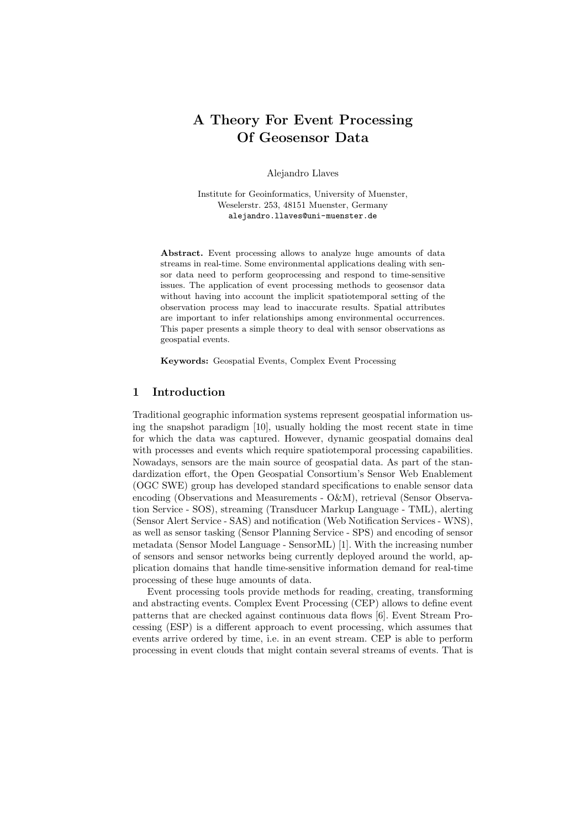# A Theory For Event Processing Of Geosensor Data

Alejandro Llaves

Institute for Geoinformatics, University of Muenster, Weselerstr. 253, 48151 Muenster, Germany alejandro.llaves@uni-muenster.de

Abstract. Event processing allows to analyze huge amounts of data streams in real-time. Some environmental applications dealing with sensor data need to perform geoprocessing and respond to time-sensitive issues. The application of event processing methods to geosensor data without having into account the implicit spatiotemporal setting of the observation process may lead to inaccurate results. Spatial attributes are important to infer relationships among environmental occurrences. This paper presents a simple theory to deal with sensor observations as geospatial events.

Keywords: Geospatial Events, Complex Event Processing

## 1 Introduction

Traditional geographic information systems represent geospatial information using the snapshot paradigm [10], usually holding the most recent state in time for which the data was captured. However, dynamic geospatial domains deal with processes and events which require spatiotemporal processing capabilities. Nowadays, sensors are the main source of geospatial data. As part of the standardization effort, the Open Geospatial Consortium's Sensor Web Enablement (OGC SWE) group has developed standard specifications to enable sensor data encoding (Observations and Measurements - O&M), retrieval (Sensor Observation Service - SOS), streaming (Transducer Markup Language - TML), alerting (Sensor Alert Service - SAS) and notification (Web Notification Services - WNS), as well as sensor tasking (Sensor Planning Service - SPS) and encoding of sensor metadata (Sensor Model Language - SensorML) [1]. With the increasing number of sensors and sensor networks being currently deployed around the world, application domains that handle time-sensitive information demand for real-time processing of these huge amounts of data.

Event processing tools provide methods for reading, creating, transforming and abstracting events. Complex Event Processing (CEP) allows to define event patterns that are checked against continuous data flows [6]. Event Stream Processing (ESP) is a different approach to event processing, which assumes that events arrive ordered by time, i.e. in an event stream. CEP is able to perform processing in event clouds that might contain several streams of events. That is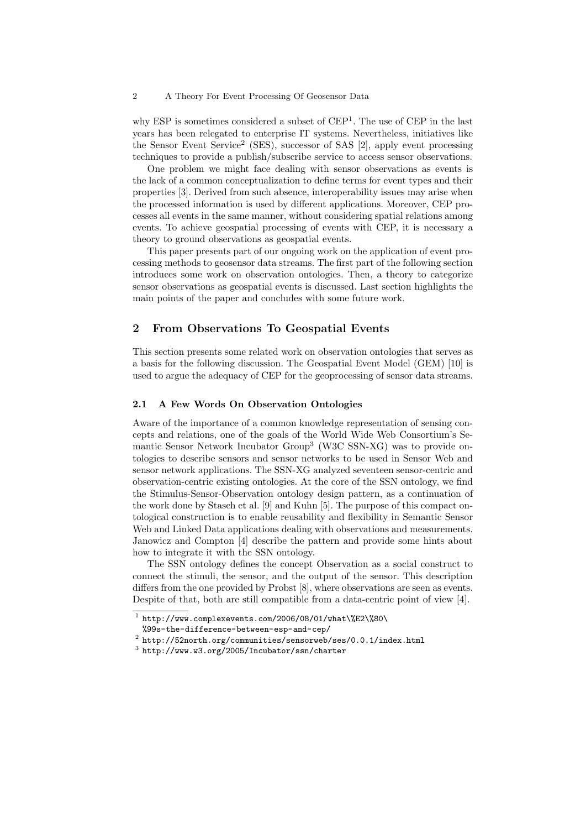### 2 A Theory For Event Processing Of Geosensor Data

why ESP is sometimes considered a subset of CEP<sup>1</sup>. The use of CEP in the last years has been relegated to enterprise IT systems. Nevertheless, initiatives like the Sensor Event Service<sup>2</sup> (SES), successor of SAS [2], apply event processing techniques to provide a publish/subscribe service to access sensor observations.

One problem we might face dealing with sensor observations as events is the lack of a common conceptualization to define terms for event types and their properties [3]. Derived from such absence, interoperability issues may arise when the processed information is used by different applications. Moreover, CEP processes all events in the same manner, without considering spatial relations among events. To achieve geospatial processing of events with CEP, it is necessary a theory to ground observations as geospatial events.

This paper presents part of our ongoing work on the application of event processing methods to geosensor data streams. The first part of the following section introduces some work on observation ontologies. Then, a theory to categorize sensor observations as geospatial events is discussed. Last section highlights the main points of the paper and concludes with some future work.

## 2 From Observations To Geospatial Events

This section presents some related work on observation ontologies that serves as a basis for the following discussion. The Geospatial Event Model (GEM) [10] is used to argue the adequacy of CEP for the geoprocessing of sensor data streams.

### 2.1 A Few Words On Observation Ontologies

Aware of the importance of a common knowledge representation of sensing concepts and relations, one of the goals of the World Wide Web Consortium's Semantic Sensor Network Incubator Group<sup>3</sup> (W3C SSN-XG) was to provide ontologies to describe sensors and sensor networks to be used in Sensor Web and sensor network applications. The SSN-XG analyzed seventeen sensor-centric and observation-centric existing ontologies. At the core of the SSN ontology, we find the Stimulus-Sensor-Observation ontology design pattern, as a continuation of the work done by Stasch et al. [9] and Kuhn [5]. The purpose of this compact ontological construction is to enable reusability and flexibility in Semantic Sensor Web and Linked Data applications dealing with observations and measurements. Janowicz and Compton [4] describe the pattern and provide some hints about how to integrate it with the SSN ontology.

The SSN ontology defines the concept Observation as a social construct to connect the stimuli, the sensor, and the output of the sensor. This description differs from the one provided by Probst [8], where observations are seen as events. Despite of that, both are still compatible from a data-centric point of view [4].

 $^1$  http://www.complexevents.com/2006/08/01/what\%E2\%80\

<sup>%99</sup>s-the-difference-between-esp-and-cep/

 $^2$  http://52north.org/communities/sensorweb/ses/0.0.1/index.html

 $^3$  http://www.w $3.\text{org}/2005/\text{Incubator}/\text{ssn}/\text{charter}$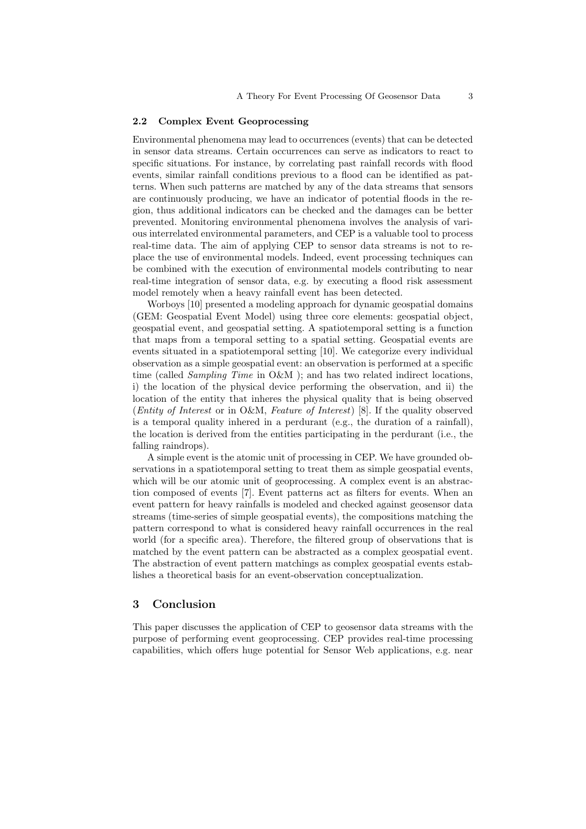#### 2.2 Complex Event Geoprocessing

Environmental phenomena may lead to occurrences (events) that can be detected in sensor data streams. Certain occurrences can serve as indicators to react to specific situations. For instance, by correlating past rainfall records with flood events, similar rainfall conditions previous to a flood can be identified as patterns. When such patterns are matched by any of the data streams that sensors are continuously producing, we have an indicator of potential floods in the region, thus additional indicators can be checked and the damages can be better prevented. Monitoring environmental phenomena involves the analysis of various interrelated environmental parameters, and CEP is a valuable tool to process real-time data. The aim of applying CEP to sensor data streams is not to replace the use of environmental models. Indeed, event processing techniques can be combined with the execution of environmental models contributing to near real-time integration of sensor data, e.g. by executing a flood risk assessment model remotely when a heavy rainfall event has been detected.

Worboys [10] presented a modeling approach for dynamic geospatial domains (GEM: Geospatial Event Model) using three core elements: geospatial object, geospatial event, and geospatial setting. A spatiotemporal setting is a function that maps from a temporal setting to a spatial setting. Geospatial events are events situated in a spatiotemporal setting [10]. We categorize every individual observation as a simple geospatial event: an observation is performed at a specific time (called *Sampling Time* in O&M ); and has two related indirect locations, i) the location of the physical device performing the observation, and ii) the location of the entity that inheres the physical quality that is being observed (Entity of Interest or in O&M, Feature of Interest) [8]. If the quality observed is a temporal quality inhered in a perdurant (e.g., the duration of a rainfall), the location is derived from the entities participating in the perdurant (i.e., the falling raindrops).

A simple event is the atomic unit of processing in CEP. We have grounded observations in a spatiotemporal setting to treat them as simple geospatial events, which will be our atomic unit of geoprocessing. A complex event is an abstraction composed of events [7]. Event patterns act as filters for events. When an event pattern for heavy rainfalls is modeled and checked against geosensor data streams (time-series of simple geospatial events), the compositions matching the pattern correspond to what is considered heavy rainfall occurrences in the real world (for a specific area). Therefore, the filtered group of observations that is matched by the event pattern can be abstracted as a complex geospatial event. The abstraction of event pattern matchings as complex geospatial events establishes a theoretical basis for an event-observation conceptualization.

## 3 Conclusion

This paper discusses the application of CEP to geosensor data streams with the purpose of performing event geoprocessing. CEP provides real-time processing capabilities, which offers huge potential for Sensor Web applications, e.g. near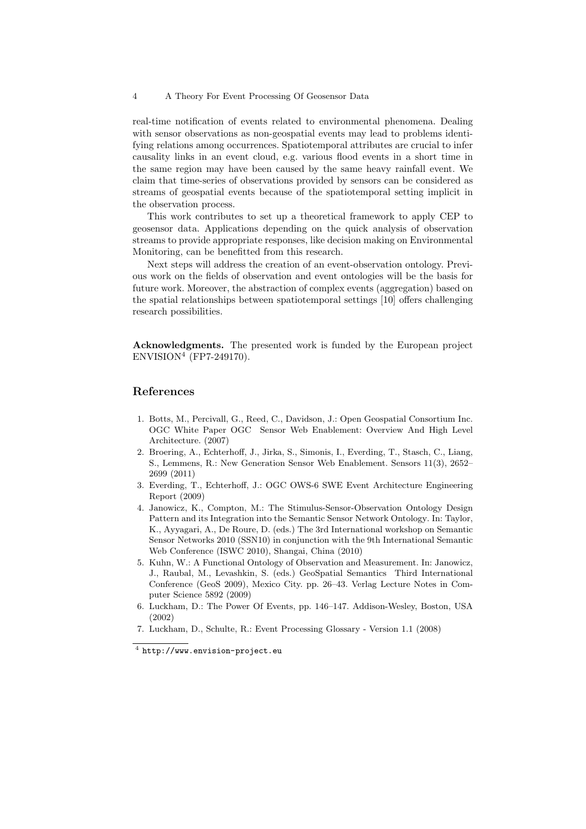#### 4 A Theory For Event Processing Of Geosensor Data

real-time notification of events related to environmental phenomena. Dealing with sensor observations as non-geospatial events may lead to problems identifying relations among occurrences. Spatiotemporal attributes are crucial to infer causality links in an event cloud, e.g. various flood events in a short time in the same region may have been caused by the same heavy rainfall event. We claim that time-series of observations provided by sensors can be considered as streams of geospatial events because of the spatiotemporal setting implicit in the observation process.

This work contributes to set up a theoretical framework to apply CEP to geosensor data. Applications depending on the quick analysis of observation streams to provide appropriate responses, like decision making on Environmental Monitoring, can be benefitted from this research.

Next steps will address the creation of an event-observation ontology. Previous work on the fields of observation and event ontologies will be the basis for future work. Moreover, the abstraction of complex events (aggregation) based on the spatial relationships between spatiotemporal settings [10] offers challenging research possibilities.

Acknowledgments. The presented work is funded by the European project ENVISION<sup>4</sup> (FP7-249170).

## References

- 1. Botts, M., Percivall, G., Reed, C., Davidson, J.: Open Geospatial Consortium Inc. OGC White Paper OGC Sensor Web Enablement: Overview And High Level Architecture. (2007)
- 2. Broering, A., Echterhoff, J., Jirka, S., Simonis, I., Everding, T., Stasch, C., Liang, S., Lemmens, R.: New Generation Sensor Web Enablement. Sensors 11(3), 2652– 2699 (2011)
- 3. Everding, T., Echterhoff, J.: OGC OWS-6 SWE Event Architecture Engineering Report (2009)
- 4. Janowicz, K., Compton, M.: The Stimulus-Sensor-Observation Ontology Design Pattern and its Integration into the Semantic Sensor Network Ontology. In: Taylor, K., Ayyagari, A., De Roure, D. (eds.) The 3rd International workshop on Semantic Sensor Networks 2010 (SSN10) in conjunction with the 9th International Semantic Web Conference (ISWC 2010), Shangai, China (2010)
- 5. Kuhn, W.: A Functional Ontology of Observation and Measurement. In: Janowicz, J., Raubal, M., Levashkin, S. (eds.) GeoSpatial Semantics Third International Conference (GeoS 2009), Mexico City. pp. 26–43. Verlag Lecture Notes in Computer Science 5892 (2009)
- 6. Luckham, D.: The Power Of Events, pp. 146–147. Addison-Wesley, Boston, USA (2002)
- 7. Luckham, D., Schulte, R.: Event Processing Glossary Version 1.1 (2008)

 $^4$  http://www.envision-project.eu